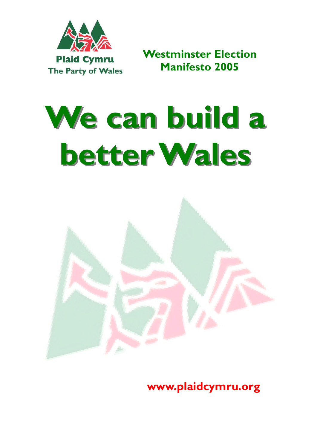

**Plaid Cymru - The Party of Wales Westminster Election Manifesto 2005** 

# We can build a **better Wales better Wales**



**www.plaidcymru.org**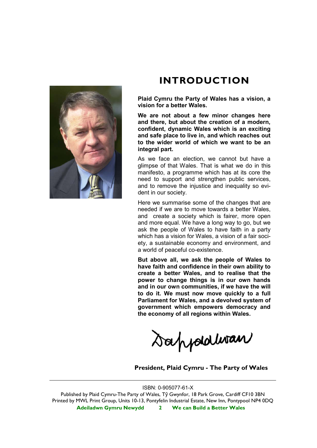

## **INTRODUCTION**

**Plaid Cymru the Party of Wales has a vision, a vision for a better Wales.** 

**We are not about a few minor changes here and there, but about the creation of a modern, confident, dynamic Wales which is an exciting and safe place to live in, and which reaches out to the wider world of which we want to be an integral part.** 

As we face an election, we cannot but have a glimpse of that Wales. That is what we do in this manifesto, a programme which has at its core the need to support and strengthen public services, and to remove the injustice and inequality so evident in our society.

Here we summarise some of the changes that are needed if we are to move towards a better Wales, and create a society which is fairer, more open and more equal. We have a long way to go, but we ask the people of Wales to have faith in a party which has a vision for Wales, a vision of a fair society, a sustainable economy and environment, and a world of peaceful co-existence.

**But above all, we ask the people of Wales to have faith and confidence in their own ability to create a better Wales, and to realise that the power to change things is in our own hands and in our own communities, if we have the will to do it. We must now move quickly to a full Parliament for Wales, and a devolved system of government which empowers democracy and the economy of all regions within Wales.** 

Sappoldwan

**President, Plaid Cymru - The Party of Wales** 

#### ISBN: 0-905077-61-X

**Adeiladwn Gymru Newydd 2 We can Build a Better Wales**  Published by Plaid Cymru-The Party of Wales, Tŷ Gwynfor, 18 Park Grove, Cardiff CF10 3BN Printed by MWL Print Group, Units 10-13, Pontyfelin Industrial Estate, New Inn, Pontypool NP4 0DQ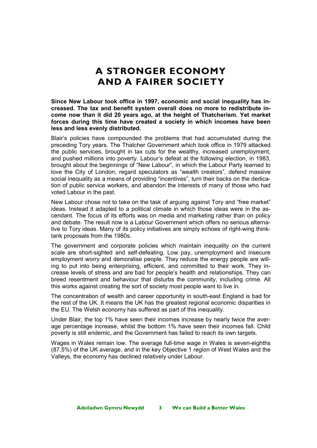# **A STRONGER ECONOMY AND A FAIRER SOCIETY**

**Since New Labour took office in 1997, economic and social inequality has increased. The tax and benefit system overall does no more to redistribute income now than it did 20 years ago, at the height of Thatcherism. Yet market forces during this time have created a society in which incomes have been less and less evenly distributed.** 

Blair's policies have compounded the problems that had accumulated during the preceding Tory years. The Thatcher Government which took office in 1979 attacked the public services, brought in tax cuts for the wealthy, increased unemployment, and pushed millions into poverty. Labour's defeat at the following election, in 1983, brought about the beginnings of "New Labour", in which the Labour Party learned to love the City of London, regard speculators as "wealth creators", defend massive social inequality as a means of providing "incentives", turn their backs on the dedication of public service workers, and abandon the interests of many of those who had voted Labour in the past.

New Labour chose not to take on the task of arguing against Tory and "free market" ideas. Instead it adapted to a political climate in which those ideas were in the ascendant. The focus of its efforts was on media and marketing rather than on policy and debate. The result now is a Labour Government which offers no serious alternative to Tory ideas. Many of its policy initiatives are simply echoes of right-wing thinktank proposals from the 1980s.

The government and corporate policies which maintain inequality on the current scale are short-sighted and self-defeating. Low pay, unemployment and insecure employment worry and demoralise people. They reduce the energy people are willing to put into being enterprising, efficient, and committed to their work. They increase levels of stress and are bad for people's health and relationships. They can breed resentment and behaviour that disturbs the community, including crime. All this works against creating the sort of society most people want to live in.

The concentration of wealth and career opportunity in south-east England is bad for the rest of the UK. It means the UK has the greatest regional economic disparities in the EU. The Welsh economy has suffered as part of this inequality.

Under Blair, the top 1% have seen their incomes increase by nearly twice the average percentage increase, whilst the bottom 1% have seen their incomes fall. Child poverty is still endemic, and the Government has failed to reach its own targets.

Wages in Wales remain low. The average full-time wage in Wales is seven-eighths (87.5%) of the UK average, and in the key Objective 1 region of West Wales and the Valleys, the economy has declined relatively under Labour.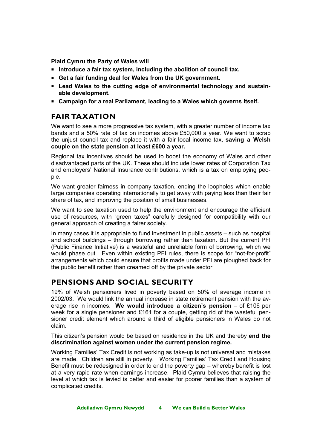**Plaid Cymru the Party of Wales will**

- **Introduce a fair tax system, including the abolition of council tax.**
- **Get a fair funding deal for Wales from the UK government.**
- **Lead Wales to the cutting edge of environmental technology and sustainable development.**
- **Campaign for a real Parliament, leading to a Wales which governs itself.**

## **FAIR TAXATION**

We want to see a more progressive tax system, with a greater number of income tax bands and a 50% rate of tax on incomes above £50,000 a year. We want to scrap the unjust council tax and replace it with a fair local income tax, **saving a Welsh couple on the state pension at least £600 a year.** 

Regional tax incentives should be used to boost the economy of Wales and other disadvantaged parts of the UK. These should include lower rates of Corporation Tax and employers' National Insurance contributions, which is a tax on employing people.

We want greater fairness in company taxation, ending the loopholes which enable large companies operating internationally to get away with paying less than their fair share of tax, and improving the position of small businesses.

We want to see taxation used to help the environment and encourage the efficient use of resources, with "green taxes" carefully designed for compatibility with our general approach of creating a fairer society.

In many cases it is appropriate to fund investment in public assets – such as hospital and school buildings – through borrowing rather than taxation. But the current PFI (Public Finance Initiative) is a wasteful and unreliable form of borrowing, which we would phase out. Even within existing PFI rules, there is scope for "not-for-profit" arrangements which could ensure that profits made under PFI are ploughed back for the public benefit rather than creamed off by the private sector.

## **PENSIONS AND SOCIAL SECURITY**

19% of Welsh pensioners lived in poverty based on 50% of average income in 2002/03. We would link the annual increase in state retirement pension with the average rise in incomes. **We would introduce a citizen's pension** – of £106 per week for a single pensioner and £161 for a couple, getting rid of the wasteful pensioner credit element which around a third of eligible pensioners in Wales do not claim.

This citizen's pension would be based on residence in the UK and thereby **end the discrimination against women under the current pension regime.**

Working Families' Tax Credit is not working as take-up is not universal and mistakes are made. Children are still in poverty. Working Families' Tax Credit and Housing Benefit must be redesigned in order to end the poverty gap – whereby benefit is lost at a very rapid rate when earnings increase. Plaid Cymru believes that raising the level at which tax is levied is better and easier for poorer families than a system of complicated credits.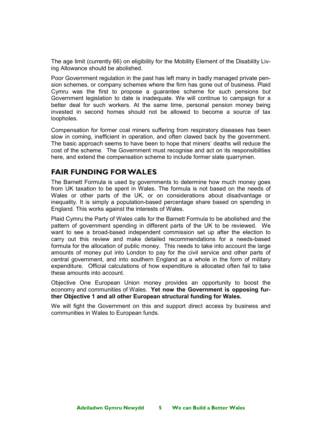The age limit (currently 66) on eligibility for the Mobility Element of the Disability Living Allowance should be abolished.

Poor Government regulation in the past has left many in badly managed private pension schemes, or company schemes where the firm has gone out of business. Plaid Cymru was the first to propose a guarantee scheme for such pensions but Government legislation to date is inadequate. We will continue to campaign for a better deal for such workers. At the same time, personal pension money being invested in second homes should not be allowed to become a source of tax loopholes.

Compensation for former coal miners suffering from respiratory diseases has been slow in coming, inefficient in operation, and often clawed back by the government. The basic approach seems to have been to hope that miners' deaths will reduce the cost of the scheme. The Government must recognise and act on its responsibilities here, and extend the compensation scheme to include former slate quarrymen.

### **FAIR FUNDING FOR WALES**

The Barnett Formula is used by governments to determine how much money goes from UK taxation to be spent in Wales. The formula is not based on the needs of Wales or other parts of the UK, or on considerations about disadvantage or inequality. It is simply a population-based percentage share based on spending in England. This works against the interests of Wales.

Plaid Cymru the Party of Wales calls for the Barnett Formula to be abolished and the pattern of government spending in different parts of the UK to be reviewed. We want to see a broad-based independent commission set up after the election to carry out this review and make detailed recommendations for a needs-based formula for the allocation of public money. This needs to take into account the large amounts of money put into London to pay for the civil service and other parts of central government, and into southern England as a whole in the form of military expenditure. Official calculations of how expenditure is allocated often fail to take these amounts into account.

Objective One European Union money provides an opportunity to boost the economy and communities of Wales. **Yet now the Government is opposing further Objective 1 and all other European structural funding for Wales.**

We will fight the Government on this and support direct access by business and communities in Wales to European funds.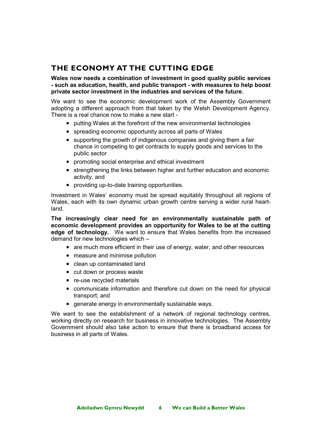## **THE ECONOMY AT THE CUTTING EDGE**

**Wales now needs a combination of investment in good quality public services - such as education, health, and public transport - with measures to help boost private sector investment in the industries and services of the future.** 

We want to see the economic development work of the Assembly Government adopting a different approach from that taken by the Welsh Development Agency. There is a real chance now to make a new start -

- **P** putting Wales at the forefront of the new environmental technologies
- spreading economic opportunity across all parts of Wales
- supporting the growth of indigenous companies and giving them a fair chance in competing to get contracts to supply goods and services to the public sector
- **PEDITE:** promoting social enterprise and ethical investment
- strengthening the links between higher and further education and economic activity, and
- providing up-to-date training opportunities.

Investment in Wales' economy must be spread equitably throughout all regions of Wales, each with its own dynamic urban growth centre serving a wider rural heartland.

**The increasingly clear need for an environmentally sustainable path of economic development provides an opportunity for Wales to be at the cutting edge of technology.** We want to ensure that Wales benefits from the increased demand for new technologies which –

- **EXT** are much more efficient in their use of energy, water, and other resources
- measure and minimise pollution
- clean up contaminated land
- cut down or process waste
- **F** re-use recycled materials
- communicate information and therefore cut down on the need for physical transport; and
- **generate energy in environmentally sustainable ways.**

We want to see the establishment of a network of regional technology centres, working directly on research for business in innovative technologies. The Assembly Government should also take action to ensure that there is broadband access for business in all parts of Wales.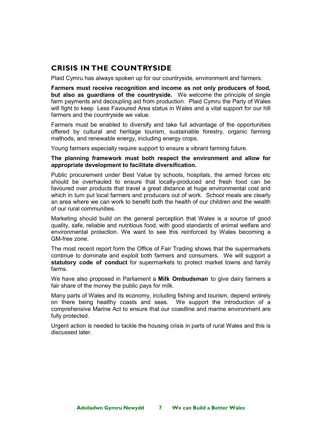## **CRISIS IN THE COUNTRYSIDE**

Plaid Cymru has always spoken up for our countryside, environment and farmers.

**Farmers must receive recognition and income as not only producers of food, but also as guardians of the countryside.** We welcome the principle of single farm payments and decoupling aid from production. Plaid Cymru the Party of Wales will fight to keep Less Favoured Area status in Wales and a vital support for our hill farmers and the countryside we value.

Farmers must be enabled to diversify and take full advantage of the opportunities offered by cultural and heritage tourism, sustainable forestry, organic farming methods, and renewable energy, including energy crops.

Young farmers especially require support to ensure a vibrant farming future.

#### **The planning framework must both respect the environment and allow for appropriate development to facilitate diversification.**

Public procurement under Best Value by schools, hospitals, the armed forces etc should be overhauled to ensure that locally-produced and fresh food can be favoured over products that travel a great distance at huge environmental cost and which in turn put local farmers and producers out of work. School meals are clearly an area where we can work to benefit both the health of our children and the wealth of our rural communities.

Marketing should build on the general perception that Wales is a source of good quality, safe, reliable and nutritious food, with good standards of animal welfare and environmental protection. We want to see this reinforced by Wales becoming a GM-free zone.

The most recent report form the Office of Fair Trading shows that the supermarkets continue to dominate and exploit both farmers and consumers. We will support a **statutory code of conduct** for supermarkets to protect market towns and family farms.

We have also proposed in Parliament a **Milk Ombudsman** to give dairy farmers a fair share of the money the public pays for milk.

Many parts of Wales and its economy, including fishing and tourism, depend entirely on there being healthy coasts and seas. We support the introduction of a comprehensive Marine Act to ensure that our coastline and marine environment are fully protected.

Urgent action is needed to tackle the housing crisis in parts of rural Wales and this is discussed later.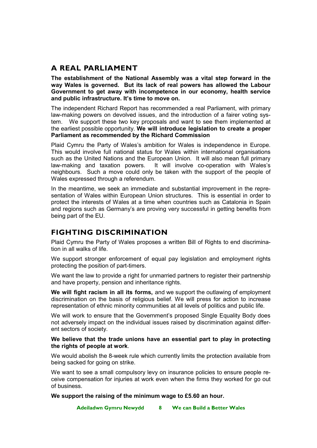## **A REAL PARLIAMENT**

**The establishment of the National Assembly was a vital step forward in the way Wales is governed. But its lack of real powers has allowed the Labour Government to get away with incompetence in our economy, health service and public infrastructure. It's time to move on.** 

The independent Richard Report has recommended a real Parliament, with primary law-making powers on devolved issues, and the introduction of a fairer voting system. We support these two key proposals and want to see them implemented at the earliest possible opportunity. **We will introduce legislation to create a proper Parliament as recommended by the Richard Commission** 

Plaid Cymru the Party of Wales's ambition for Wales is independence in Europe. This would involve full national status for Wales within international organisations such as the United Nations and the European Union. It will also mean full primary law-making and taxation powers. It will involve co-operation with Wales's neighbours. Such a move could only be taken with the support of the people of Wales expressed through a referendum.

In the meantime, we seek an immediate and substantial improvement in the representation of Wales within European Union structures. This is essential in order to protect the interests of Wales at a time when countries such as Catalonia in Spain and regions such as Germany's are proving very successful in getting benefits from being part of the EU.

## **FIGHTING DISCRIMINATION**

Plaid Cymru the Party of Wales proposes a written Bill of Rights to end discrimination in all walks of life.

We support stronger enforcement of equal pay legislation and employment rights protecting the position of part-timers.

We want the law to provide a right for unmarried partners to register their partnership and have property, pension and inheritance rights.

**We will fight racism in all its forms,** and we support the outlawing of employment discrimination on the basis of religious belief. We will press for action to increase representation of ethnic minority communities at all levels of politics and public life.

We will work to ensure that the Government's proposed Single Equality Body does not adversely impact on the individual issues raised by discrimination against different sectors of society.

#### **We believe that the trade unions have an essential part to play in protecting the rights of people at work**.

We would abolish the 8-week rule which currently limits the protection available from being sacked for going on strike.

We want to see a small compulsory levy on insurance policies to ensure people receive compensation for injuries at work even when the firms they worked for go out of business.

**We support the raising of the minimum wage to £5.60 an hour.**

**Adeiladwn Gymru Newydd 8 We can Build a Better Wales**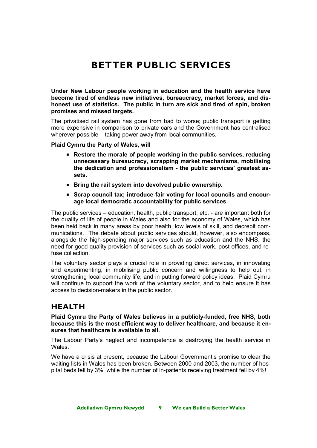# **BETTER PUBLIC SERVICES**

**Under New Labour people working in education and the health service have become tired of endless new initiatives, bureaucracy, market forces, and dishonest use of statistics. The public in turn are sick and tired of spin, broken promises and missed targets.** 

The privatised rail system has gone from bad to worse; public transport is getting more expensive in comparison to private cars and the Government has centralised wherever possible – taking power away from local communities.

**Plaid Cymru the Party of Wales, will** 

- **Restore the morale of people working in the public services, reducing unnecessary bureaucracy, scrapping market mechanisms, mobilising the dedication and professionalism - the public services' greatest assets.**
- **Bring the rail system into devolved public ownership.**
- **Scrap council tax; introduce fair voting for local councils and encourage local democratic accountability for public services**

The public services – education, health, public transport, etc. - are important both for the quality of life of people in Wales and also for the economy of Wales, which has been held back in many areas by poor health, low levels of skill, and decrepit communications. The debate about public services should, however, also encompass, alongside the high-spending major services such as education and the NHS, the need for good quality provision of services such as social work, post offices, and refuse collection.

The voluntary sector plays a crucial role in providing direct services, in innovating and experimenting, in mobilising public concern and willingness to help out, in strengthening local community life, and in putting forward policy ideas. Plaid Cymru will continue to support the work of the voluntary sector, and to help ensure it has access to decision-makers in the public sector.

## **HEALTH**

**Plaid Cymru the Party of Wales believes in a publicly-funded, free NHS, both because this is the most efficient way to deliver healthcare, and because it ensures that healthcare is available to all.** 

The Labour Party's neglect and incompetence is destroying the health service in Wales.

We have a crisis at present, because the Labour Government's promise to clear the waiting lists in Wales has been broken. Between 2000 and 2003, the number of hospital beds fell by 3%, while the number of in-patients receiving treatment fell by 4%!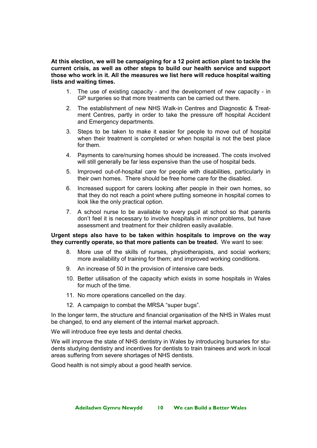**At this election, we will be campaigning for a 12 point action plant to tackle the current crisis, as well as other steps to build our health service and support those who work in it. All the measures we list here will reduce hospital waiting lists and waiting times.**

- 1. The use of existing capacity and the development of new capacity in GP surgeries so that more treatments can be carried out there.
- 2. The establishment of new NHS Walk-in Centres and Diagnostic & Treatment Centres, partly in order to take the pressure off hospital Accident and Emergency departments.
- 3. Steps to be taken to make it easier for people to move out of hospital when their treatment is completed or when hospital is not the best place for them.
- 4. Payments to care/nursing homes should be increased. The costs involved will still generally be far less expensive than the use of hospital beds.
- 5. Improved out-of-hospital care for people with disabilities, particularly in their own homes. There should be free home care for the disabled.
- 6. Increased support for carers looking after people in their own homes, so that they do not reach a point where putting someone in hospital comes to look like the only practical option.
- 7. A school nurse to be available to every pupil at school so that parents don't feel it is necessary to involve hospitals in minor problems, but have assessment and treatment for their children easily available.

#### **Urgent steps also have to be taken within hospitals to improve on the way they currently operate, so that more patients can be treated.** We want to see:

- 8. More use of the skills of nurses, physiotherapists, and social workers; more availability of training for them; and improved working conditions.
- 9. An increase of 50 in the provision of intensive care beds.
- 10. Better utilisation of the capacity which exists in some hospitals in Wales for much of the time.
- 11. No more operations cancelled on the day.
- 12. A campaign to combat the MRSA "super bugs".

In the longer term, the structure and financial organisation of the NHS in Wales must be changed, to end any element of the internal market approach.

We will introduce free eye tests and dental checks.

We will improve the state of NHS dentistry in Wales by introducing bursaries for students studying dentistry and incentives for dentists to train trainees and work in local areas suffering from severe shortages of NHS dentists.

Good health is not simply about a good health service.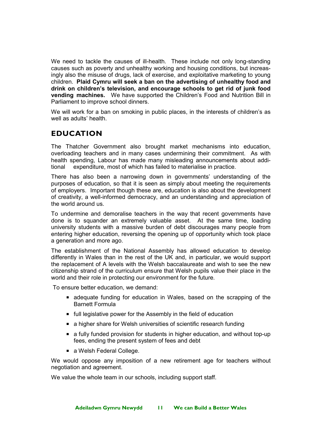We need to tackle the causes of ill-health. These include not only long-standing causes such as poverty and unhealthy working and housing conditions, but increasingly also the misuse of drugs, lack of exercise, and exploitative marketing to young children. **Plaid Cymru will seek a ban on the advertising of unhealthy food and drink on children's television, and encourage schools to get rid of junk food vending machines.** We have supported the Children's Food and Nutrition Bill in Parliament to improve school dinners.

We will work for a ban on smoking in public places, in the interests of children's as well as adults' health.

## **EDUCATION**

The Thatcher Government also brought market mechanisms into education, overloading teachers and in many cases undermining their commitment. As with health spending, Labour has made many misleading announcements about additional expenditure, most of which has failed to materialise in practice.

There has also been a narrowing down in governments' understanding of the purposes of education, so that it is seen as simply about meeting the requirements of employers. Important though these are, education is also about the development of creativity, a well-informed democracy, and an understanding and appreciation of the world around us.

To undermine and demoralise teachers in the way that recent governments have done is to squander an extremely valuable asset. At the same time, loading university students with a massive burden of debt discourages many people from entering higher education, reversing the opening up of opportunity which took place a generation and more ago.

The establishment of the National Assembly has allowed education to develop differently in Wales than in the rest of the UK and, in particular, we would support the replacement of A levels with the Welsh baccalaureate and wish to see the new citizenship strand of the curriculum ensure that Welsh pupils value their place in the world and their role in protecting our environment for the future.

To ensure better education, we demand:

- adequate funding for education in Wales, based on the scrapping of the Barnett Formula
- **F** full legislative power for the Assembly in the field of education
- a higher share for Welsh universities of scientific research funding
- a fully funded provision for students in higher education, and without top-up fees, ending the present system of fees and debt
- a Welsh Federal College.

We would oppose any imposition of a new retirement age for teachers without negotiation and agreement.

We value the whole team in our schools, including support staff.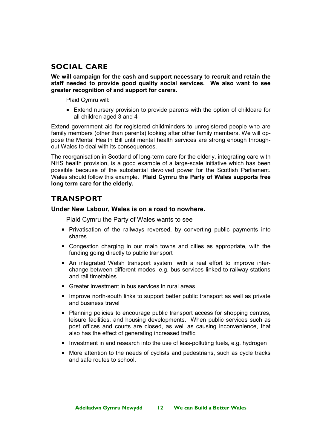## **SOCIAL CARE**

**We will campaign for the cash and support necessary to recruit and retain the staff needed to provide good quality social services. We also want to see greater recognition of and support for carers.** 

Plaid Cymru will:

 Extend nursery provision to provide parents with the option of childcare for all children aged 3 and 4

Extend government aid for registered childminders to unregistered people who are family members (other than parents) looking after other family members. We will oppose the Mental Health Bill until mental health services are strong enough throughout Wales to deal with its consequences.

The reorganisation in Scotland of long-term care for the elderly, integrating care with NHS health provision, is a good example of a large-scale initiative which has been possible because of the substantial devolved power for the Scottish Parliament. Wales should follow this example. **Plaid Cymru the Party of Wales supports free long term care for the elderly.** 

## **TRANSPORT**

#### **Under New Labour, Wales is on a road to nowhere.**

Plaid Cymru the Party of Wales wants to see

- **Privatisation of the railways reversed, by converting public payments into** shares
- Congestion charging in our main towns and cities as appropriate, with the funding going directly to public transport
- An integrated Welsh transport system, with a real effort to improve interchange between different modes, e.g. bus services linked to railway stations and rail timetables
- Greater investment in bus services in rural areas
- **IMPROVE North-south links to support better public transport as well as private** and business travel
- **Planning policies to encourage public transport access for shopping centres,** leisure facilities, and housing developments. When public services such as post offices and courts are closed, as well as causing inconvenience, that also has the effect of generating increased traffic
- Investment in and research into the use of less-polluting fuels, e.g. hydrogen
- More attention to the needs of cyclists and pedestrians, such as cycle tracks and safe routes to school.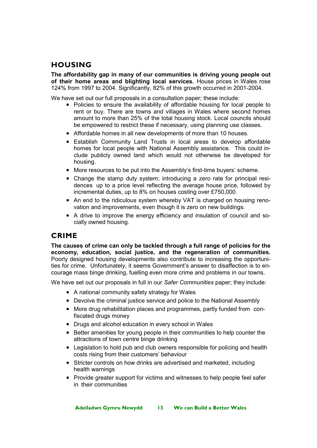## **HOUSING**

**The affordability gap in many of our communities is driving young people out of their home areas and blighting local services.** House prices in Wales rose 124% from 1997 to 2004. Significantly, 82% of this growth occurred in 2001-2004.

We have set out our full proposals in a consultation paper; these include:

- **Policies to ensure the availability of affordable housing for local people to** rent or buy. There are towns and villages in Wales where second homes amount to more than 25% of the total housing stock. Local councils should be empowered to restrict these if necessary, using planning use classes.
- Affordable homes in all new developments of more than 10 houses.
- Establish Community Land Trusts in local areas to develop affordable homes for local people with National Assembly assistance. This could include publicly owned land which would not otherwise be developed for housing.
- More resources to be put into the Assembly's first-time buyers' scheme.
- Change the stamp duty system; introducing a zero rate for principal residences up to a price level reflecting the average house price, followed by incremental duties, up to 8% on houses costing over £750,000.
- An end to the ridiculous system whereby VAT is charged on housing renovation and improvements, even though it is zero on new buildings.
- A drive to improve the energy efficiency and insulation of council and socially owned housing.

## **CRIME**

**The causes of crime can only be tackled through a full range of policies for the economy, education, social justice, and the regeneration of communities.**  Poorly designed housing developments also contribute to increasing the opportunities for crime. Unfortunately, it seems Government's answer to disaffection is to encourage mass binge drinking, fuelling even more crime and problems in our towns.

We have set out our proposals in full in our *Safer Communities* paper; they include:

- A national community safety strategy for Wales
- Devolve the criminal justice service and police to the National Assembly
- More drug rehabilitation places and programmes, partly funded from confiscated drugs money
- **Drugs and alcohol education in every school in Wales**
- Better amenities for young people in their communities to help counter the attractions of town centre binge drinking
- **EXECTED EXECTED** Legislation to hold pub and club owners responsible for policing and health costs rising from their customers' behaviour
- Stricter controls on how drinks are advertised and marketed, including health warnings
- **Provide greater support for victims and witnesses to help people feel safer** in their communities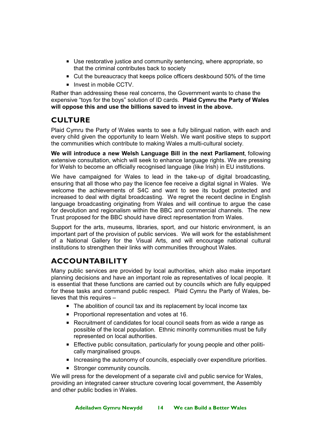- Use restorative justice and community sentencing, where appropriate, so that the criminal contributes back to society
- Cut the bureaucracy that keeps police officers deskbound 50% of the time
- $\blacksquare$  Invest in mobile CCTV.

Rather than addressing these real concerns, the Government wants to chase the expensive "toys for the boys" solution of ID cards. **Plaid Cymru the Party of Wales will oppose this and use the billions saved to invest in the above.** 

## **CULTURE**

Plaid Cymru the Party of Wales wants to see a fully bilingual nation, with each and every child given the opportunity to learn Welsh. We want positive steps to support the communities which contribute to making Wales a multi-cultural society.

**We will introduce a new Welsh Language Bill in the next Parliament**, following extensive consultation, which will seek to enhance language rights. We are pressing for Welsh to become an officially recognised language (like Irish) in EU institutions.

We have campaigned for Wales to lead in the take-up of digital broadcasting, ensuring that all those who pay the licence fee receive a digital signal in Wales. We welcome the achievements of S4C and want to see its budget protected and increased to deal with digital broadcasting. We regret the recent decline in English language broadcasting originating from Wales and will continue to argue the case for devolution and regionalism within the BBC and commercial channels. The new Trust proposed for the BBC should have direct representation from Wales.

Support for the arts, museums, libraries, sport, and our historic environment, is an important part of the provision of public services. We will work for the establishment of a National Gallery for the Visual Arts, and will encourage national cultural institutions to strengthen their links with communities throughout Wales.

## **ACCOUNTABILITY**

Many public services are provided by local authorities, which also make important planning decisions and have an important role as representatives of local people. It is essential that these functions are carried out by councils which are fully equipped for these tasks and command public respect. Plaid Cymru the Party of Wales, believes that this requires –

- The abolition of council tax and its replacement by local income tax
- **Proportional representation and votes at 16.**
- Recruitment of candidates for local council seats from as wide a range as possible of the local population. Ethnic minority communities must be fully represented on local authorities.
- **Effective public consultation, particularly for young people and other politi**cally marginalised groups.
- **Increasing the autonomy of councils, especially over expenditure priorities.**
- Stronger community councils.

We will press for the development of a separate civil and public service for Wales, providing an integrated career structure covering local government, the Assembly and other public bodies in Wales.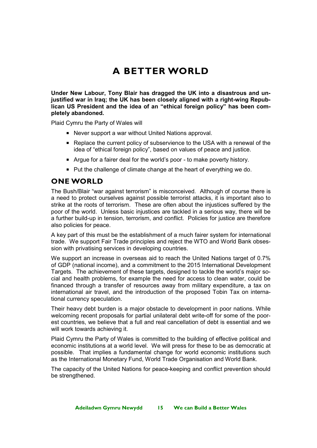# **A BETTER WORLD**

**Under New Labour, Tony Blair has dragged the UK into a disastrous and unjustified war in Iraq; the UK has been closely aligned with a right-wing Republican US President and the idea of an "ethical foreign policy" has been completely abandoned.** 

Plaid Cymru the Party of Wales will

- Never support a war without United Nations approval.
- Replace the current policy of subservience to the USA with a renewal of the idea of "ethical foreign policy", based on values of peace and justice.
- Argue for a fairer deal for the world's poor to make poverty history.
- Put the challenge of climate change at the heart of everything we do.

## **ONE WORLD**

The Bush/Blair "war against terrorism" is misconceived. Although of course there is a need to protect ourselves against possible terrorist attacks, it is important also to strike at the roots of terrorism. These are often about the injustices suffered by the poor of the world. Unless basic injustices are tackled in a serious way, there will be a further build-up in tension, terrorism, and conflict. Policies for justice are therefore also policies for peace.

A key part of this must be the establishment of a much fairer system for international trade. We support Fair Trade principles and reject the WTO and World Bank obsession with privatising services in developing countries.

We support an increase in overseas aid to reach the United Nations target of 0.7% of GDP (national income), and a commitment to the 2015 International Development Targets. The achievement of these targets, designed to tackle the world's major social and health problems, for example the need for access to clean water, could be financed through a transfer of resources away from military expenditure, a tax on international air travel, and the introduction of the proposed Tobin Tax on international currency speculation.

Their heavy debt burden is a major obstacle to development in poor nations. While welcoming recent proposals for partial unilateral debt write-off for some of the poorest countries, we believe that a full and real cancellation of debt is essential and we will work towards achieving it.

Plaid Cymru the Party of Wales is committed to the building of effective political and economic institutions at a world level. We will press for these to be as democratic at possible. That implies a fundamental change for world economic institutions such as the International Monetary Fund, World Trade Organisation and World Bank.

The capacity of the United Nations for peace-keeping and conflict prevention should be strengthened.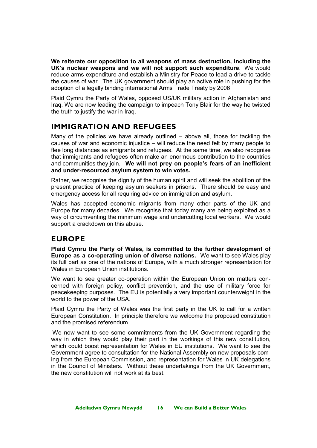**We reiterate our opposition to all weapons of mass destruction, including the UK's nuclear weapons and we will not support such expenditure**. We would reduce arms expenditure and establish a Ministry for Peace to lead a drive to tackle the causes of war. The UK government should play an active role in pushing for the adoption of a legally binding international Arms Trade Treaty by 2006.

Plaid Cymru the Party of Wales, opposed US/UK military action in Afghanistan and Iraq. We are now leading the campaign to impeach Tony Blair for the way he twisted the truth to justify the war in Iraq.

## **IMMIGRATION AND REFUGEES**

Many of the policies we have already outlined – above all, those for tackling the causes of war and economic injustice – will reduce the need felt by many people to flee long distances as emigrants and refugees. At the same time, we also recognise that immigrants and refugees often make an enormous contribution to the countries and communities they join. **We will not prey on people's fears of an inefficient and under-resourced asylum system to win votes.** 

Rather, we recognise the dignity of the human spirit and will seek the abolition of the present practice of keeping asylum seekers in prisons. There should be easy and emergency access for all requiring advice on immigration and asylum.

Wales has accepted economic migrants from many other parts of the UK and Europe for many decades. We recognise that today many are being exploited as a way of circumventing the minimum wage and undercutting local workers. We would support a crackdown on this abuse.

## **EUROPE**

**Plaid Cymru the Party of Wales, is committed to the further development of Europe as a co-operating union of diverse nations.** We want to see Wales play its full part as one of the nations of Europe, with a much stronger representation for Wales in European Union institutions.

We want to see greater co-operation within the European Union on matters concerned with foreign policy, conflict prevention, and the use of military force for peacekeeping purposes. The EU is potentially a very important counterweight in the world to the power of the USA.

Plaid Cymru the Party of Wales was the first party in the UK to call for a written European Constitution. In principle therefore we welcome the proposed constitution and the promised referendum.

We now want to see some commitments from the UK Government regarding the way in which they would play their part in the workings of this new constitution, which could boost representation for Wales in EU institutions. We want to see the Government agree to consultation for the National Assembly on new proposals coming from the European Commission, and representation for Wales in UK delegations in the Council of Ministers. Without these undertakings from the UK Government, the new constitution will not work at its best.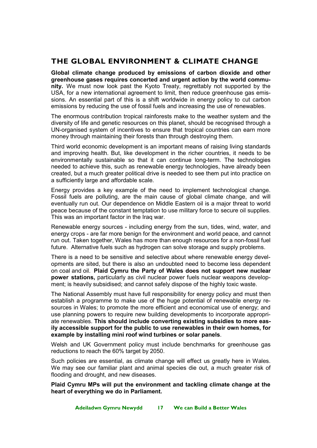## **THE GLOBAL ENVIRONMENT & CLIMATE CHANGE**

**Global climate change produced by emissions of carbon dioxide and other greenhouse gases requires concerted and urgent action by the world community.** We must now look past the Kyoto Treaty, regrettably not supported by the USA, for a new international agreement to limit, then reduce greenhouse gas emissions. An essential part of this is a shift worldwide in energy policy to cut carbon emissions by reducing the use of fossil fuels and increasing the use of renewables.

The enormous contribution tropical rainforests make to the weather system and the diversity of life and genetic resources on this planet, should be recognised through a UN-organised system of incentives to ensure that tropical countries can earn more money through maintaining their forests than through destroying them.

Third world economic development is an important means of raising living standards and improving health. But, like development in the richer countries, it needs to be environmentally sustainable so that it can continue long-term. The technologies needed to achieve this, such as renewable energy technologies, have already been created, but a much greater political drive is needed to see them put into practice on a sufficiently large and affordable scale.

Energy provides a key example of the need to implement technological change. Fossil fuels are polluting, are the main cause of global climate change, and will eventually run out. Our dependence on Middle Eastern oil is a major threat to world peace because of the constant temptation to use military force to secure oil supplies. This was an important factor in the Iraq war.

Renewable energy sources - including energy from the sun, tides, wind, water, and energy crops - are far more benign for the environment and world peace, and cannot run out. Taken together, Wales has more than enough resources for a non-fossil fuel future. Alternative fuels such as hydrogen can solve storage and supply problems.

There is a need to be sensitive and selective about where renewable energy developments are sited, but there is also an undoubted need to become less dependent on coal and oil. **Plaid Cymru the Party of Wales does not support new nuclear power stations,** particularly as civil nuclear power fuels nuclear weapons development; is heavily subsidised; and cannot safely dispose of the highly toxic waste.

The National Assembly must have full responsibility for energy policy and must then establish a programme to make use of the huge potential of renewable energy resources in Wales; to promote the more efficient and economical use of energy; and use planning powers to require new building developments to incorporate appropriate renewables. **This should include converting existing subsidies to more easily accessible support for the public to use renewables in their own homes, for example by installing mini roof wind turbines or solar panels**.

Welsh and UK Government policy must include benchmarks for greenhouse gas reductions to reach the 60% target by 2050.

Such policies are essential, as climate change will effect us greatly here in Wales. We may see our familiar plant and animal species die out, a much greater risk of flooding and drought, and new diseases.

**Plaid Cymru MPs will put the environment and tackling climate change at the heart of everything we do in Parliament.**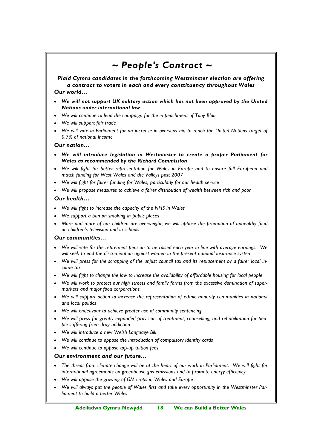# *~ People's Contract ~*

*Plaid Cymru candidates in the forthcoming Westminster election are offering a contract to voters in each and every constituency throughout Wales Our world…* 

- *We will not support UK military action which has not been approved by the United Nations under international law*
- *We will continue to lead the campaign for the impeachment of Tony Blair*
- *We will support fair trade*
- *We will vote in Parliament for an increase in overseas aid to reach the United Nations target of 0.7% of national income*

#### *Our nation…*

- *We will introduce legislation in Westminster to create a proper Parliament for Wales as recommended by the Richard Commission*
- *We will fight for better representation for Wales in Europe and to ensure full European and match funding for West Wales and the Valleys post 2007*
- *We will fight for fairer funding for Wales, particularly for our health service*
- *We will propose measures to achieve a fairer distribution of wealth between rich and poor*

#### *Our health…*

- *We will fight to increase the capacity of the NHS in Wales*
- *We support a ban on smoking in public places*
- *More and more of our children are overweight; we will oppose the promotion of unhealthy food on children's television and in schools*

#### *Our communities…*

- *We will vote for the retirement pension to be raised each year in line with average earnings. We will seek to end the discrimination against women in the present national insurance system*
- We will press for the scrapping of the unjust council tax and its replacement by a fairer local in*come tax*
- *We will fight to change the law to increase the availability of affordable housing for local people*
- *We will work to protect our high streets and family farms from the excessive domination of supermarkets and major food corporations.*
- *We will support action to increase the representation of ethnic minority communities in national and local politics*
- *We will endeavour to achieve greater use of community sentencing*
- *We will press for greatly expanded provision of treatment, counselling, and rehabilitation for people suffering from drug addiction*
- *We will introduce a new Welsh Language Bill*
- *We will continue to oppose the introduction of compulsory identity cards*
- *We will continue to oppose top-up tuition fees*

#### *Our environment and our future…*

- *The threat from climate change will be at the heart of our work in Parliament. We will fight for international agreements on greenhouse gas emissions and to promote energy efficiency.*
- *We will oppose the growing of GM crops in Wales and Europe*
- We will always put the people of Wales first and take every opportunity in the Westminster Par*liament to build a better Wales*